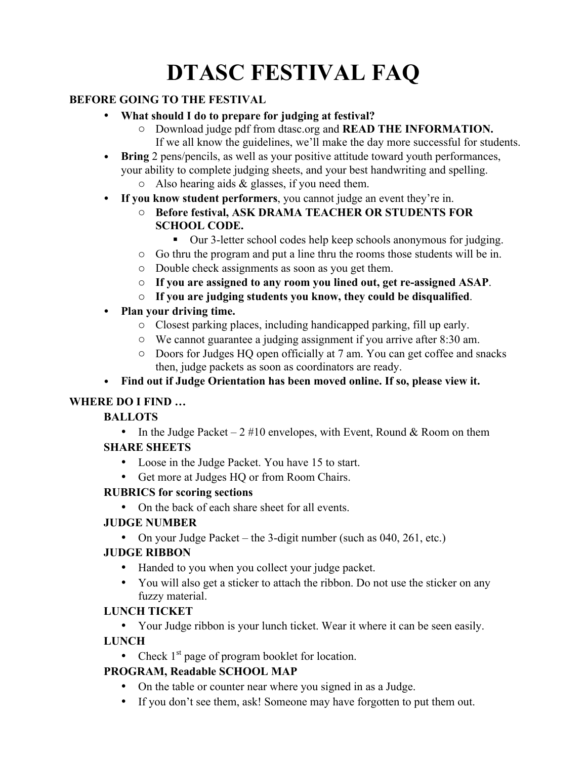# **DTASC FESTIVAL FAQ**

## **BEFORE GOING TO THE FESTIVAL**

- **What should I do to prepare for judging at festival?**
	- o Download judge pdf from dtasc.org and **READ THE INFORMATION.** If we all know the guidelines, we'll make the day more successful for students.
- **Bring** 2 pens/pencils, as well as your positive attitude toward youth performances, your ability to complete judging sheets, and your best handwriting and spelling.
	- $\circ$  Also hearing aids & glasses, if you need them.
- **If you know student performers**, you cannot judge an event they're in.
	- o **Before festival, ASK DRAMA TEACHER OR STUDENTS FOR SCHOOL CODE.**
		- ! Our 3-letter school codes help keep schools anonymous for judging.
	- o Go thru the program and put a line thru the rooms those students will be in.
	- o Double check assignments as soon as you get them.
	- o **If you are assigned to any room you lined out, get re-assigned ASAP**.
	- o **If you are judging students you know, they could be disqualified**.
- **Plan your driving time.**
	- o Closest parking places, including handicapped parking, fill up early.
	- o We cannot guarantee a judging assignment if you arrive after 8:30 am.
	- o Doors for Judges HQ open officially at 7 am. You can get coffee and snacks then, judge packets as soon as coordinators are ready.
- **Find out if Judge Orientation has been moved online. If so, please view it.**

# **WHERE DO I FIND …**

## **BALLOTS**

- In the Judge Packet  $2 \# 10$  envelopes, with Event, Round & Room on them **SHARE SHEETS**
	- Loose in the Judge Packet. You have 15 to start.
	- Get more at Judges HQ or from Room Chairs.

## **RUBRICS for scoring sections**

• On the back of each share sheet for all events.

## **JUDGE NUMBER**

• On your Judge Packet – the 3-digit number (such as 040, 261, etc.)

## **JUDGE RIBBON**

- Handed to you when you collect your judge packet.
- You will also get a sticker to attach the ribbon. Do not use the sticker on any fuzzy material.

## **LUNCH TICKET**

• Your Judge ribbon is your lunch ticket. Wear it where it can be seen easily.

## **LUNCH**

• Check  $1<sup>st</sup>$  page of program booklet for location.

# **PROGRAM, Readable SCHOOL MAP**

- On the table or counter near where you signed in as a Judge.
- If you don't see them, ask! Someone may have forgotten to put them out.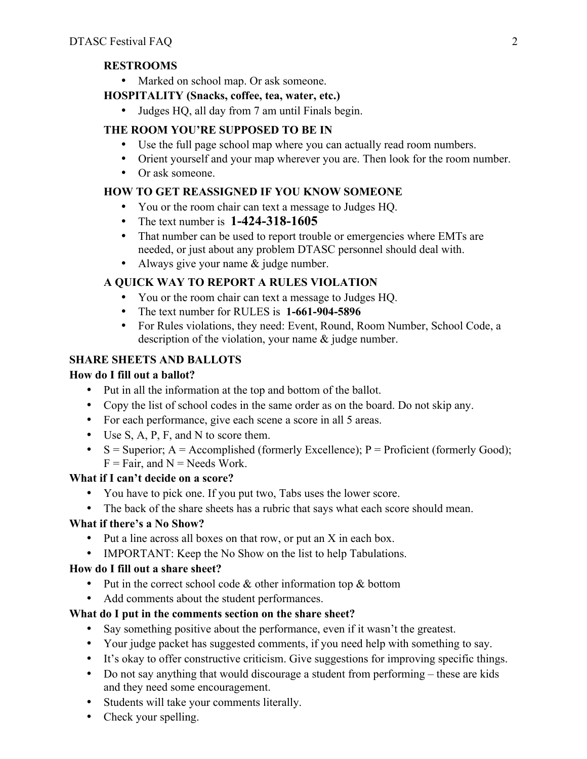## **RESTROOMS**

• Marked on school map. Or ask someone.

## **HOSPITALITY (Snacks, coffee, tea, water, etc.)**

• Judges HQ, all day from 7 am until Finals begin.

# **THE ROOM YOU'RE SUPPOSED TO BE IN**

- Use the full page school map where you can actually read room numbers.
- Orient yourself and your map wherever you are. Then look for the room number.
- Or ask someone.

# **HOW TO GET REASSIGNED IF YOU KNOW SOMEONE**

- You or the room chair can text a message to Judges HQ.
- The text number is **1-424-318-1605**
- That number can be used to report trouble or emergencies where EMTs are needed, or just about any problem DTASC personnel should deal with.
- Always give your name & judge number.

# **A QUICK WAY TO REPORT A RULES VIOLATION**

- You or the room chair can text a message to Judges HQ.
- The text number for RULES is **1-661-904-5896**
- For Rules violations, they need: Event, Round, Room Number, School Code, a description of the violation, your name & judge number.

## **SHARE SHEETS AND BALLOTS**

## **How do I fill out a ballot?**

- Put in all the information at the top and bottom of the ballot.
- Copy the list of school codes in the same order as on the board. Do not skip any.
- For each performance, give each scene a score in all 5 areas.
- Use S, A, P, F, and N to score them.
- $S =$  Superior; A = Accomplished (formerly Excellence); P = Proficient (formerly Good);  $F = Fair$ , and  $N = N$ eeds Work.

## **What if I can't decide on a score?**

- You have to pick one. If you put two, Tabs uses the lower score.
- The back of the share sheets has a rubric that says what each score should mean.

## **What if there's a No Show?**

- Put a line across all boxes on that row, or put an X in each box.
- IMPORTANT: Keep the No Show on the list to help Tabulations.

## **How do I fill out a share sheet?**

- Put in the correct school code & other information top & bottom
- Add comments about the student performances.

## **What do I put in the comments section on the share sheet?**

- Say something positive about the performance, even if it wasn't the greatest.
- Your judge packet has suggested comments, if you need help with something to say.
- It's okay to offer constructive criticism. Give suggestions for improving specific things.
- Do not say anything that would discourage a student from performing these are kids and they need some encouragement.
- Students will take your comments literally.
- Check your spelling.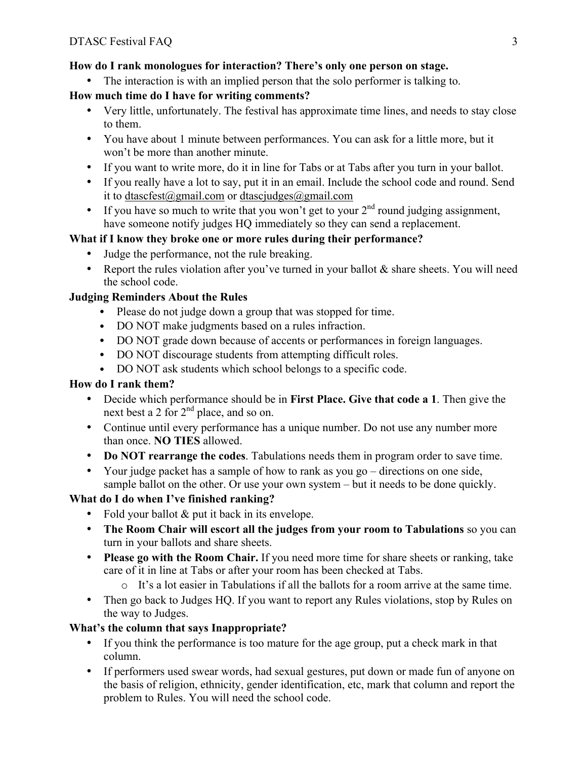## **How do I rank monologues for interaction? There's only one person on stage.**

• The interaction is with an implied person that the solo performer is talking to.

## **How much time do I have for writing comments?**

- Very little, unfortunately. The festival has approximate time lines, and needs to stay close to them.
- You have about 1 minute between performances. You can ask for a little more, but it won't be more than another minute.
- If you want to write more, do it in line for Tabs or at Tabs after you turn in your ballot.
- If you really have a lot to say, put it in an email. Include the school code and round. Send it to dtascfest@gmail.com or dtascjudges@gmail.com
- If you have so much to write that you won't get to your  $2<sup>nd</sup>$  round judging assignment, have someone notify judges HO immediately so they can send a replacement.

#### **What if I know they broke one or more rules during their performance?**

- Judge the performance, not the rule breaking.
- Report the rules violation after you've turned in your ballot & share sheets. You will need the school code.

#### **Judging Reminders About the Rules**

- Please do not judge down a group that was stopped for time.
- DO NOT make judgments based on a rules infraction.
- DO NOT grade down because of accents or performances in foreign languages.
- DO NOT discourage students from attempting difficult roles.
- DO NOT ask students which school belongs to a specific code.

## **How do I rank them?**

- Decide which performance should be in **First Place. Give that code a 1**. Then give the next best a 2 for 2<sup>nd</sup> place, and so on.
- Continue until every performance has a unique number. Do not use any number more than once. **NO TIES** allowed.
- **Do NOT rearrange the codes**. Tabulations needs them in program order to save time.
- Your judge packet has a sample of how to rank as you go directions on one side, sample ballot on the other. Or use your own system – but it needs to be done quickly.

## **What do I do when I've finished ranking?**

- Fold your ballot & put it back in its envelope.
- **The Room Chair will escort all the judges from your room to Tabulations** so you can turn in your ballots and share sheets.
- **Please go with the Room Chair.** If you need more time for share sheets or ranking, take care of it in line at Tabs or after your room has been checked at Tabs.
	- $\circ$  It's a lot easier in Tabulations if all the ballots for a room arrive at the same time.
- Then go back to Judges HQ. If you want to report any Rules violations, stop by Rules on the way to Judges.

## **What's the column that says Inappropriate?**

- If you think the performance is too mature for the age group, put a check mark in that column.
- If performers used swear words, had sexual gestures, put down or made fun of anyone on the basis of religion, ethnicity, gender identification, etc, mark that column and report the problem to Rules. You will need the school code.